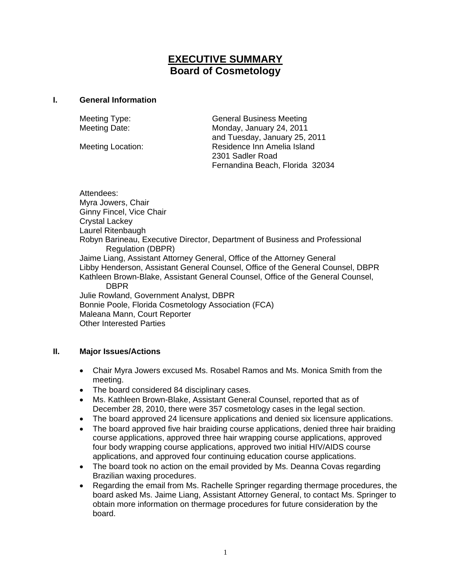# **EXECUTIVE SUMMARY Board of Cosmetology**

### **I. General Information**

Meeting Type: General Business Meeting Meeting Date: Monday, January 24, 2011 and Tuesday, January 25, 2011 Meeting Location: Residence Inn Amelia Island 2301 Sadler Road Fernandina Beach, Florida 32034

Attendees: Myra Jowers, Chair Ginny Fincel, Vice Chair Crystal Lackey Laurel Ritenbaugh Robyn Barineau, Executive Director, Department of Business and Professional Regulation (DBPR) Jaime Liang, Assistant Attorney General, Office of the Attorney General Libby Henderson, Assistant General Counsel, Office of the General Counsel, DBPR Kathleen Brown-Blake, Assistant General Counsel, Office of the General Counsel, DBPR Julie Rowland, Government Analyst, DBPR Bonnie Poole, Florida Cosmetology Association (FCA) Maleana Mann, Court Reporter Other Interested Parties

## **II. Major Issues/Actions**

- Chair Myra Jowers excused Ms. Rosabel Ramos and Ms. Monica Smith from the meeting.
- The board considered 84 disciplinary cases.
- Ms. Kathleen Brown-Blake, Assistant General Counsel, reported that as of December 28, 2010, there were 357 cosmetology cases in the legal section.
- The board approved 24 licensure applications and denied six licensure applications.
- The board approved five hair braiding course applications, denied three hair braiding course applications, approved three hair wrapping course applications, approved four body wrapping course applications, approved two initial HIV/AIDS course applications, and approved four continuing education course applications.
- The board took no action on the email provided by Ms. Deanna Covas regarding Brazilian waxing procedures.
- Regarding the email from Ms. Rachelle Springer regarding thermage procedures, the board asked Ms. Jaime Liang, Assistant Attorney General, to contact Ms. Springer to obtain more information on thermage procedures for future consideration by the board.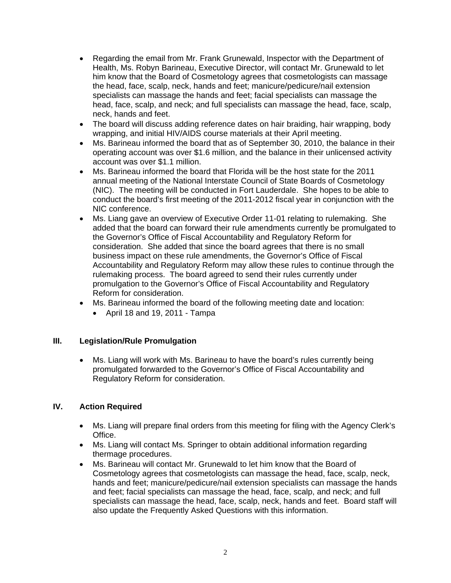- Regarding the email from Mr. Frank Grunewald, Inspector with the Department of Health, Ms. Robyn Barineau, Executive Director, will contact Mr. Grunewald to let him know that the Board of Cosmetology agrees that cosmetologists can massage the head, face, scalp, neck, hands and feet; manicure/pedicure/nail extension specialists can massage the hands and feet; facial specialists can massage the head, face, scalp, and neck; and full specialists can massage the head, face, scalp, neck, hands and feet.
- The board will discuss adding reference dates on hair braiding, hair wrapping, body wrapping, and initial HIV/AIDS course materials at their April meeting.
- Ms. Barineau informed the board that as of September 30, 2010, the balance in their operating account was over \$1.6 million, and the balance in their unlicensed activity account was over \$1.1 million.
- Ms. Barineau informed the board that Florida will be the host state for the 2011 annual meeting of the National Interstate Council of State Boards of Cosmetology (NIC). The meeting will be conducted in Fort Lauderdale. She hopes to be able to conduct the board's first meeting of the 2011-2012 fiscal year in conjunction with the NIC conference.
- Ms. Liang gave an overview of Executive Order 11-01 relating to rulemaking. She added that the board can forward their rule amendments currently be promulgated to the Governor's Office of Fiscal Accountability and Regulatory Reform for consideration. She added that since the board agrees that there is no small business impact on these rule amendments, the Governor's Office of Fiscal Accountability and Regulatory Reform may allow these rules to continue through the rulemaking process. The board agreed to send their rules currently under promulgation to the Governor's Office of Fiscal Accountability and Regulatory Reform for consideration.
- Ms. Barineau informed the board of the following meeting date and location:
	- April 18 and 19, 2011 Tampa

## **III. Legislation/Rule Promulgation**

• Ms. Liang will work with Ms. Barineau to have the board's rules currently being promulgated forwarded to the Governor's Office of Fiscal Accountability and Regulatory Reform for consideration.

## **IV. Action Required**

- Ms. Liang will prepare final orders from this meeting for filing with the Agency Clerk's Office.
- Ms. Liang will contact Ms. Springer to obtain additional information regarding thermage procedures.
- Ms. Barineau will contact Mr. Grunewald to let him know that the Board of Cosmetology agrees that cosmetologists can massage the head, face, scalp, neck, hands and feet; manicure/pedicure/nail extension specialists can massage the hands and feet; facial specialists can massage the head, face, scalp, and neck; and full specialists can massage the head, face, scalp, neck, hands and feet. Board staff will also update the Frequently Asked Questions with this information.